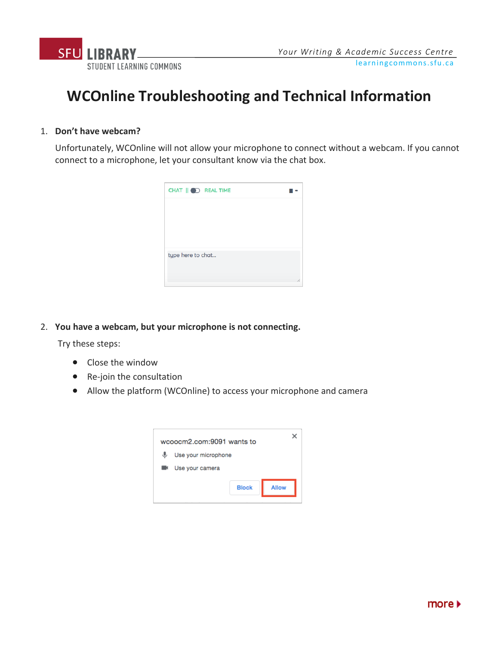

# **WCOnline Troubleshooting and Technical Information**

### 1. **Don't have webcam?**

Unfortunately, WCOnline will not allow your microphone to connect without a webcam. If you cannot connect to a microphone, let your consultant know via the chat box.



2. **You have a webcam, but your microphone is not connecting.**

Try these steps:

- Close the window
- Re-join the consultation
- Allow the platform (WCOnline) to access your microphone and camera

|   | wcoocm2.com:9091 wants to    |  |
|---|------------------------------|--|
| ⋓ | Use your microphone          |  |
|   | Use your camera              |  |
|   | <b>Allow</b><br><b>Block</b> |  |

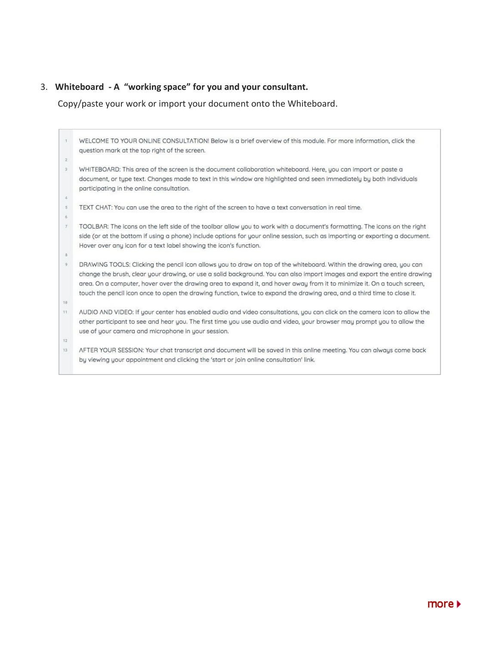## 3. **Whiteboard - A "working space" for you and your consultant.**

Copy/paste your work or import your document onto the Whiteboard.

|                | WELCOME TO YOUR ONLINE CONSULTATION! Below is a brief overview of this module. For more information, click the                                                                                                                                     |
|----------------|----------------------------------------------------------------------------------------------------------------------------------------------------------------------------------------------------------------------------------------------------|
|                | question mark at the top right of the screen.                                                                                                                                                                                                      |
| $2^{\circ}$    |                                                                                                                                                                                                                                                    |
| $\mathcal{I}$  | WHITEBOARD: This area of the screen is the document collaboration whiteboard. Here, you can import or paste a                                                                                                                                      |
|                | document, or type text. Changes made to text in this window are highlighted and seen immediately by both individuals<br>participating in the online consultation.                                                                                  |
|                |                                                                                                                                                                                                                                                    |
| 5 <sub>1</sub> | TEXT CHAT: You can use the area to the right of the screen to have a text conversation in real time.                                                                                                                                               |
| 6              |                                                                                                                                                                                                                                                    |
| $\tau$         | TOOLBAR: The icons on the left side of the toolbar allow you to work with a document's formatting. The icons on the right                                                                                                                          |
|                | side (or at the bottom if using a phone) include options for your online session, such as importing or exporting a document.                                                                                                                       |
|                | Hover over any icon for a text label showing the icon's function.                                                                                                                                                                                  |
|                |                                                                                                                                                                                                                                                    |
| $\overline{9}$ | DRAWING TOOLS: Clicking the pencil icon allows you to draw on top of the whiteboard. Within the drawing area, you can<br>change the brush, clear your drawing, or use a solid background. You can also import images and export the entire drawing |
|                | area. On a computer, hover over the drawing area to expand it, and hover away from it to minimize it. On a touch screen,                                                                                                                           |
|                | touch the pencil icon once to open the drawing function, twice to expand the drawing area, and a third time to close it.                                                                                                                           |
| 18             |                                                                                                                                                                                                                                                    |
| 11             | AUDIO AND VIDEO: If your center has enabled audio and video consultations, you can click on the camera icon to allow the                                                                                                                           |
|                | other participant to see and hear you. The first time you use audio and video, your browser may prompt you to allow the                                                                                                                            |
|                | use of your camera and microphone in your session.                                                                                                                                                                                                 |
| 12             |                                                                                                                                                                                                                                                    |
| 13             | AFTER YOUR SESSION: Your chat transcript and document will be saved in this online meeting. You can always come back                                                                                                                               |
|                | by viewing your appointment and clicking the 'start or join online consultation' link.                                                                                                                                                             |
|                |                                                                                                                                                                                                                                                    |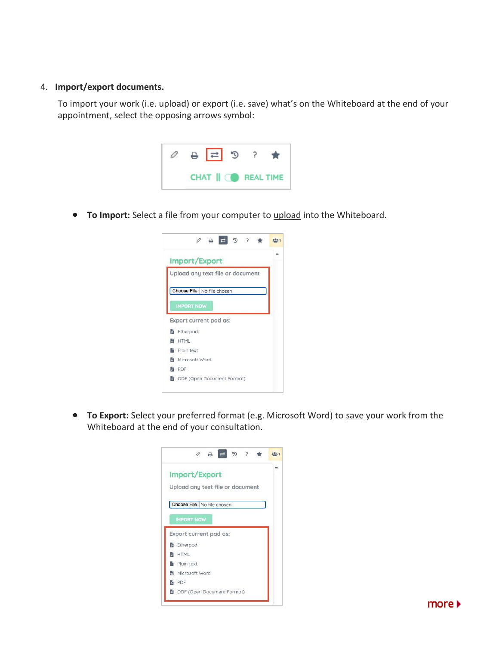#### 4. **Import/export documents.**

To import your work (i.e. upload) or export (i.e. save) what's on the Whiteboard at the end of your appointment, select the opposing arrows symbol:



• **To Import:** Select a file from your computer to upload into the Whiteboard.



• **To Export:** Select your preferred format (e.g. Microsoft Word) to save your work from the Whiteboard at the end of your consultation.

| Import/Export                    |  |
|----------------------------------|--|
|                                  |  |
| Upload any text file or document |  |
|                                  |  |
| Choose File   No file chosen     |  |
| <b>IMPORT NOW</b>                |  |
|                                  |  |
|                                  |  |
| Export current pad as:           |  |
| <b>b</b> Etherpad                |  |
| <b>BE</b> HTML                   |  |
| Plain text                       |  |
| <b>断</b> Microsoft Word          |  |
| <b>脑 PDF</b>                     |  |